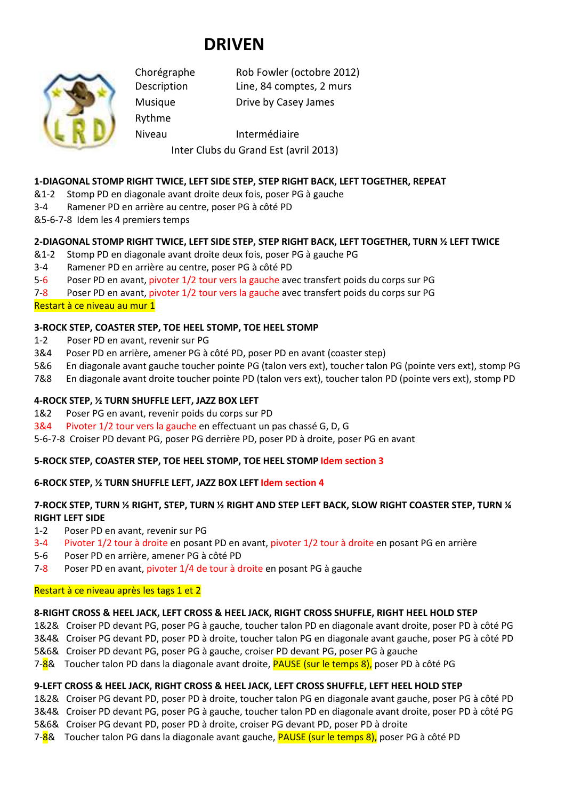# **DRIVEN**



Rythme

Chorégraphe Rob Fowler (octobre 2012) Description Line, 84 comptes, 2 murs

Musique Drive by Casey James

Niveau Intermédiaire

# Inter Clubs du Grand Est (avril 2013)

## **1-DIAGONAL STOMP RIGHT TWICE, LEFT SIDE STEP, STEP RIGHT BACK, LEFT TOGETHER, REPEAT**

- &1-2 Stomp PD en diagonale avant droite deux fois, poser PG à gauche
- 3-4 Ramener PD en arrière au centre, poser PG à côté PD
- &5-6-7-8 Idem les 4 premiers temps

## **2-DIAGONAL STOMP RIGHT TWICE, LEFT SIDE STEP, STEP RIGHT BACK, LEFT TOGETHER, TURN ½ LEFT TWICE**

- &1-2 Stomp PD en diagonale avant droite deux fois, poser PG à gauche PG
- 3-4 Ramener PD en arrière au centre, poser PG à côté PD

5-6 Poser PD en avant, pivoter 1/2 tour vers la gauche avec transfert poids du corps sur PG

7-8 Poser PD en avant, pivoter 1/2 tour vers la gauche avec transfert poids du corps sur PG

Restart à ce niveau au mur 1

## **3-ROCK STEP, COASTER STEP, TOE HEEL STOMP, TOE HEEL STOMP**

- 1-2 Poser PD en avant, revenir sur PG
- 3&4 Poser PD en arrière, amener PG à côté PD, poser PD en avant (coaster step)
- 5&6 En diagonale avant gauche toucher pointe PG (talon vers ext), toucher talon PG (pointe vers ext), stomp PG
- 7&8 En diagonale avant droite toucher pointe PD (talon vers ext), toucher talon PD (pointe vers ext), stomp PD

## **4-ROCK STEP, ½ TURN SHUFFLE LEFT, JAZZ BOX LEFT**

1&2 Poser PG en avant, revenir poids du corps sur PD

3&4 Pivoter 1/2 tour vers la gauche en effectuant un pas chassé G, D, G

5-6-7-8 Croiser PD devant PG, poser PG derrière PD, poser PD à droite, poser PG en avant

## **5-ROCK STEP, COASTER STEP, TOE HEEL STOMP, TOE HEEL STOMP Idem section 3**

## **6-ROCK STEP, ½ TURN SHUFFLE LEFT, JAZZ BOX LEFT Idem section 4**

## **7-ROCK STEP, TURN ½ RIGHT, STEP, TURN ½ RIGHT AND STEP LEFT BACK, SLOW RIGHT COASTER STEP, TURN ¼ RIGHT LEFT SIDE**

- 1-2 Poser PD en avant, revenir sur PG
- 3-4 Pivoter 1/2 tour à droite en posant PD en avant, pivoter 1/2 tour à droite en posant PG en arrière
- 5-6 Poser PD en arrière, amener PG à côté PD
- 7-8 Poser PD en avant, pivoter 1/4 de tour à droite en posant PG à gauche

## Restart à ce niveau après les tags 1 et 2

## **8-RIGHT CROSS & HEEL JACK, LEFT CROSS & HEEL JACK, RIGHT CROSS SHUFFLE, RIGHT HEEL HOLD STEP**

- 1&2& Croiser PD devant PG, poser PG à gauche, toucher talon PD en diagonale avant droite, poser PD à côté PG
- 3&4& Croiser PG devant PD, poser PD à droite, toucher talon PG en diagonale avant gauche, poser PG à côté PD
- 5&6& Croiser PD devant PG, poser PG à gauche, croiser PD devant PG, poser PG à gauche
- 7-8& Toucher talon PD dans la diagonale avant droite, PAUSE (sur le temps 8), poser PD à côté PG

## **9-LEFT CROSS & HEEL JACK, RIGHT CROSS & HEEL JACK, LEFT CROSS SHUFFLE, LEFT HEEL HOLD STEP**

- 1&2& Croiser PG devant PD, poser PD à droite, toucher talon PG en diagonale avant gauche, poser PG à côté PD
- 3&4& Croiser PD devant PG, poser PG à gauche, toucher talon PD en diagonale avant droite, poser PD à côté PG
- 5&6& Croiser PG devant PD, poser PD à droite, croiser PG devant PD, poser PD à droite
- 7-8& Toucher talon PG dans la diagonale avant gauche, PAUSE (sur le temps 8), poser PG à côté PD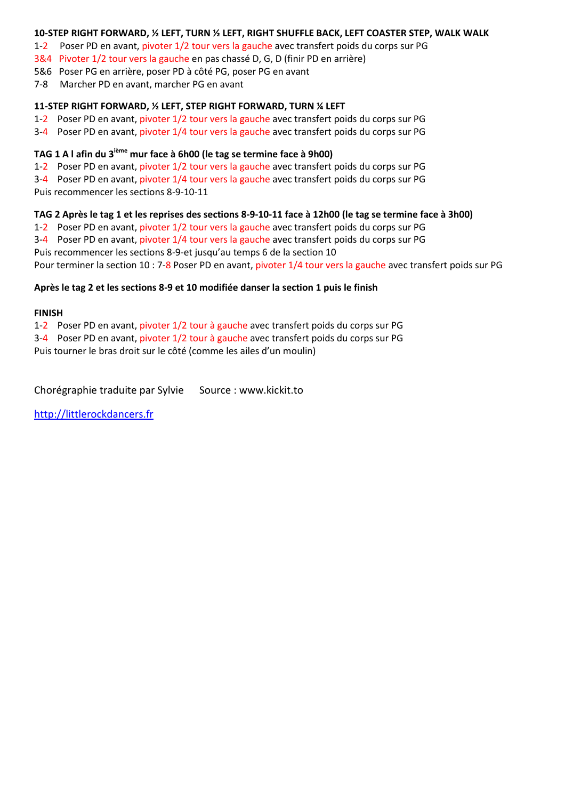#### **10-STEP RIGHT FORWARD, ½ LEFT, TURN ½ LEFT, RIGHT SHUFFLE BACK, LEFT COASTER STEP, WALK WALK**

1-2 Poser PD en avant, pivoter 1/2 tour vers la gauche avec transfert poids du corps sur PG

3&4 Pivoter 1/2 tour vers la gauche en pas chassé D, G, D (finir PD en arrière)

5&6 Poser PG en arrière, poser PD à côté PG, poser PG en avant

7-8 Marcher PD en avant, marcher PG en avant

#### **11-STEP RIGHT FORWARD, ½ LEFT, STEP RIGHT FORWARD, TURN ¼ LEFT**

1-2 Poser PD en avant, pivoter 1/2 tour vers la gauche avec transfert poids du corps sur PG

3-4 Poser PD en avant, pivoter 1/4 tour vers la gauche avec transfert poids du corps sur PG

#### **TAG 1 A l afin du 3ième mur face à 6h00 (le tag se termine face à 9h00)**

1-2 Poser PD en avant, pivoter 1/2 tour vers la gauche avec transfert poids du corps sur PG

3-4 Poser PD en avant, pivoter 1/4 tour vers la gauche avec transfert poids du corps sur PG

Puis recommencer les sections 8-9-10-11

#### **TAG 2 Après le tag 1 et les reprises des sections 8-9-10-11 face à 12h00 (le tag se termine face à 3h00)**

1-2 Poser PD en avant, pivoter 1/2 tour vers la gauche avec transfert poids du corps sur PG

3-4 Poser PD en avant, pivoter 1/4 tour vers la gauche avec transfert poids du corps sur PG Puis recommencer les sections 8-9-et jusqu'au temps 6 de la section 10

Pour terminer la section 10 : 7-8 Poser PD en avant, pivoter 1/4 tour vers la gauche avec transfert poids sur PG

#### **Après le tag 2 et les sections 8-9 et 10 modifiée danser la section 1 puis le finish**

#### **FINISH**

1-2 Poser PD en avant, pivoter 1/2 tour à gauche avec transfert poids du corps sur PG

3-4 Poser PD en avant, pivoter 1/2 tour à gauche avec transfert poids du corps sur PG

Puis tourner le bras droit sur le côté (comme les ailes d'un moulin)

Chorégraphie traduite par Sylvie Source : www.kickit.to

http://littlerockdancers.fr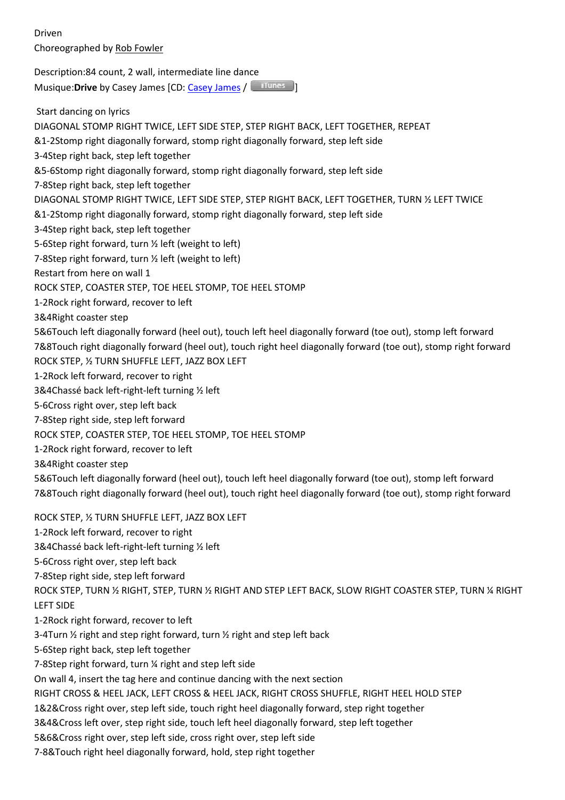Driven Choreographed by Rob Fowler

Description:84 count, 2 wall, intermediate line dance Musique:**Drive** by Casey James [CD: Casey James / **Internal**]

 Start dancing on lyrics DIAGONAL STOMP RIGHT TWICE, LEFT SIDE STEP, STEP RIGHT BACK, LEFT TOGETHER, REPEAT &1-2Stomp right diagonally forward, stomp right diagonally forward, step left side 3-4Step right back, step left together &5-6Stomp right diagonally forward, stomp right diagonally forward, step left side 7-8Step right back, step left together DIAGONAL STOMP RIGHT TWICE, LEFT SIDE STEP, STEP RIGHT BACK, LEFT TOGETHER, TURN ½ LEFT TWICE &1-2Stomp right diagonally forward, stomp right diagonally forward, step left side 3-4Step right back, step left together 5-6Step right forward, turn ½ left (weight to left) 7-8Step right forward, turn ½ left (weight to left) Restart from here on wall 1 ROCK STEP, COASTER STEP, TOE HEEL STOMP, TOE HEEL STOMP 1-2Rock right forward, recover to left 3&4Right coaster step 5&6Touch left diagonally forward (heel out), touch left heel diagonally forward (toe out), stomp left forward 7&8Touch right diagonally forward (heel out), touch right heel diagonally forward (toe out), stomp right forward ROCK STEP, ½ TURN SHUFFLE LEFT, JAZZ BOX LEFT 1-2Rock left forward, recover to right 3&4Chassé back left-right-left turning ½ left 5-6Cross right over, step left back 7-8Step right side, step left forward ROCK STEP, COASTER STEP, TOE HEEL STOMP, TOE HEEL STOMP 1-2Rock right forward, recover to left 3&4Right coaster step 5&6Touch left diagonally forward (heel out), touch left heel diagonally forward (toe out), stomp left forward 7&8Touch right diagonally forward (heel out), touch right heel diagonally forward (toe out), stomp right forward ROCK STEP, ½ TURN SHUFFLE LEFT, JAZZ BOX LEFT

1-2Rock left forward, recover to right

3&4Chassé back left-right-left turning ½ left

5-6Cross right over, step left back

7-8Step right side, step left forward

ROCK STEP, TURN ½ RIGHT, STEP, TURN ½ RIGHT AND STEP LEFT BACK, SLOW RIGHT COASTER STEP, TURN ¼ RIGHT LEFT SIDE

1-2Rock right forward, recover to left

3-4Turn ½ right and step right forward, turn ½ right and step left back

5-6Step right back, step left together

7-8Step right forward, turn ¼ right and step left side

On wall 4, insert the tag here and continue dancing with the next section

RIGHT CROSS & HEEL JACK, LEFT CROSS & HEEL JACK, RIGHT CROSS SHUFFLE, RIGHT HEEL HOLD STEP

1&2&Cross right over, step left side, touch right heel diagonally forward, step right together

3&4&Cross left over, step right side, touch left heel diagonally forward, step left together

5&6&Cross right over, step left side, cross right over, step left side

7-8&Touch right heel diagonally forward, hold, step right together